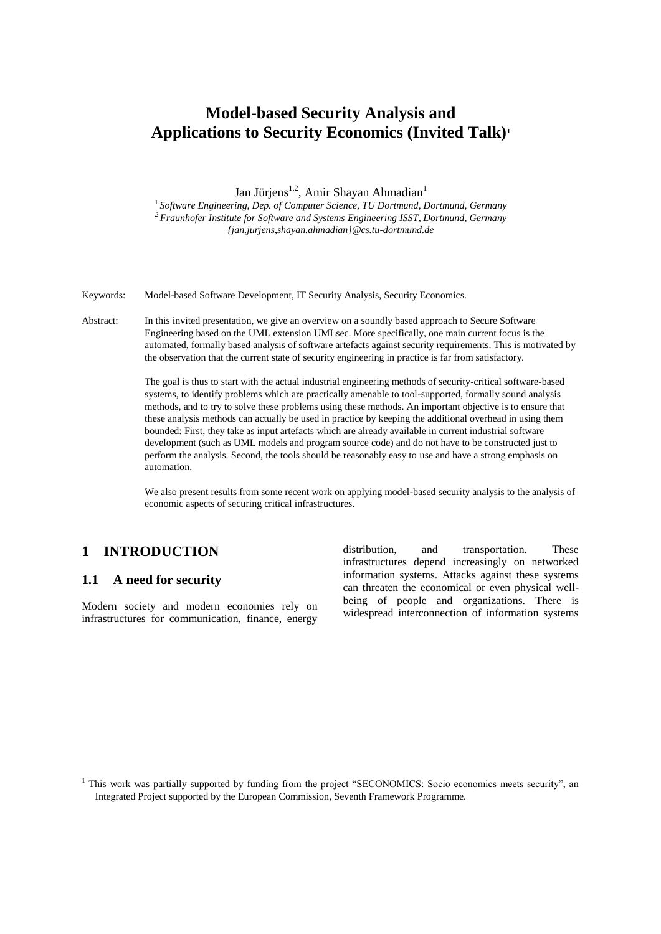# **Model-based Security Analysis and Applications to Security Economics (Invited Talk)<sup>1</sup>**

Jan Jürjens<sup>1,2</sup>, Amir Shayan Ahmadian<sup>1</sup>

1 *Software Engineering, Dep. of Computer Science, TU Dortmund, Dortmund, Germany <sup>2</sup> Fraunhofer Institute for Software and Systems Engineering ISST, Dortmund, Germany {jan.jurjens,shayan.ahmadian}@cs.tu-dortmund.de*

Keywords: Model-based Software Development, IT Security Analysis, Security Economics.

Abstract: In this invited presentation, we give an overview on a soundly based approach to Secure Software Engineering based on the UML extension UMLsec. More specifically, one main current focus is the automated, formally based analysis of software artefacts against security requirements. This is motivated by the observation that the current state of security engineering in practice is far from satisfactory.

> The goal is thus to start with the actual industrial engineering methods of security-critical software-based systems, to identify problems which are practically amenable to tool-supported, formally sound analysis methods, and to try to solve these problems using these methods. An important objective is to ensure that these analysis methods can actually be used in practice by keeping the additional overhead in using them bounded: First, they take as input artefacts which are already available in current industrial software development (such as UML models and program source code) and do not have to be constructed just to perform the analysis. Second, the tools should be reasonably easy to use and have a strong emphasis on automation.

We also present results from some recent work on applying model-based security analysis to the analysis of economic aspects of securing critical infrastructures.

# **1 INTRODUCTION**

#### **1.1 A need for security**

Modern society and modern economies rely on infrastructures for communication, finance, energy

distribution, and transportation. These infrastructures depend increasingly on networked information systems. Attacks against these systems can threaten the economical or even physical wellbeing of people and organizations. There is widespread interconnection of information systems

<sup>1</sup> This work was partially supported by funding from the project "SECONOMICS: Socio economics meets security", an Integrated Project supported by the European Commission, Seventh Framework Programme.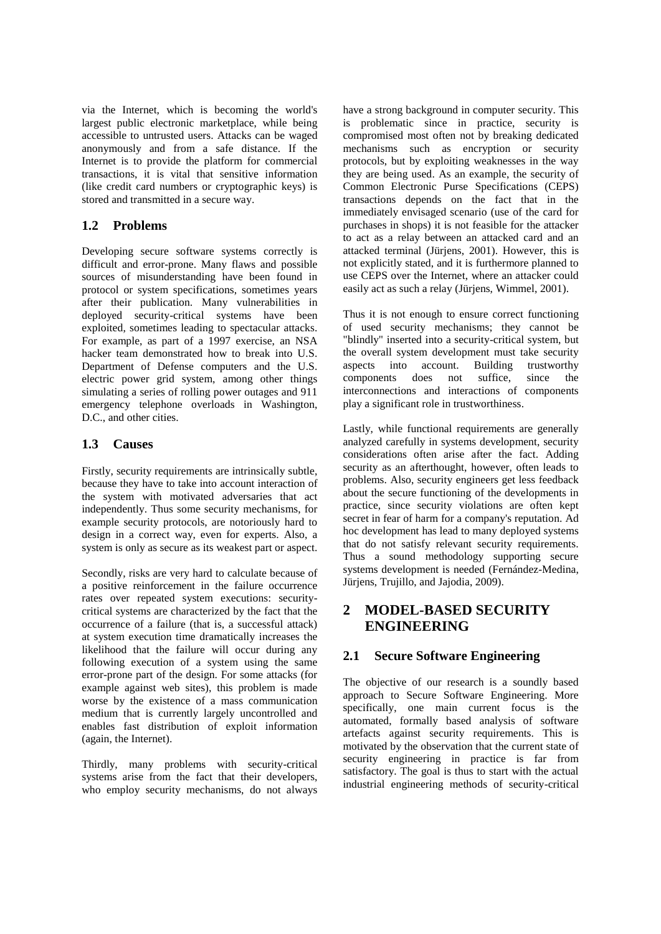via the Internet, which is becoming the world's largest public electronic marketplace, while being accessible to untrusted users. Attacks can be waged anonymously and from a safe distance. If the Internet is to provide the platform for commercial transactions, it is vital that sensitive information (like credit card numbers or cryptographic keys) is stored and transmitted in a secure way.

#### **1.2 Problems**

Developing secure software systems correctly is difficult and error-prone. Many flaws and possible sources of misunderstanding have been found in protocol or system specifications, sometimes years after their publication. Many vulnerabilities in deployed security-critical systems have been exploited, sometimes leading to spectacular attacks. For example, as part of a 1997 exercise, an NSA hacker team demonstrated how to break into U.S. Department of Defense computers and the U.S. electric power grid system, among other things simulating a series of rolling power outages and 911 emergency telephone overloads in Washington, D.C., and other cities.

#### **1.3 Causes**

Firstly, security requirements are intrinsically subtle, because they have to take into account interaction of the system with motivated adversaries that act independently. Thus some security mechanisms, for example security protocols, are notoriously hard to design in a correct way, even for experts. Also, a system is only as secure as its weakest part or aspect.

Secondly, risks are very hard to calculate because of a positive reinforcement in the failure occurrence rates over repeated system executions: securitycritical systems are characterized by the fact that the occurrence of a failure (that is, a successful attack) at system execution time dramatically increases the likelihood that the failure will occur during any following execution of a system using the same error-prone part of the design. For some attacks (for example against web sites), this problem is made worse by the existence of a mass communication medium that is currently largely uncontrolled and enables fast distribution of exploit information (again, the Internet).

Thirdly, many problems with security-critical systems arise from the fact that their developers, who employ security mechanisms, do not always

have a strong background in computer security. This is problematic since in practice, security is compromised most often not by breaking dedicated mechanisms such as encryption or security protocols, but by exploiting weaknesses in the way they are being used. As an example, the security of Common Electronic Purse Specifications (CEPS) transactions depends on the fact that in the immediately envisaged scenario (use of the card for purchases in shops) it is not feasible for the attacker to act as a relay between an attacked card and an attacked terminal (Jürjens, 2001). However, this is not explicitly stated, and it is furthermore planned to use CEPS over the Internet, where an attacker could easily act as such a relay (Jürjens, Wimmel, 2001).

Thus it is not enough to ensure correct functioning of used security mechanisms; they cannot be "blindly" inserted into a security-critical system, but the overall system development must take security aspects into account. Building trustworthy<br>components does not suffice, since the components does not suffice, since the interconnections and interactions of components play a significant role in trustworthiness.

Lastly, while functional requirements are generally analyzed carefully in systems development, security considerations often arise after the fact. Adding security as an afterthought, however, often leads to problems. Also, security engineers get less feedback about the secure functioning of the developments in practice, since security violations are often kept secret in fear of harm for a company's reputation. Ad hoc development has lead to many deployed systems that do not satisfy relevant security requirements. Thus a sound methodology supporting secure systems development is needed (Fernández-Medina, Jürjens, Trujillo, and Jajodia, 2009).

# **2 MODEL-BASED SECURITY ENGINEERING**

#### **2.1 Secure Software Engineering**

The objective of our research is a soundly based approach to Secure Software Engineering. More specifically, one main current focus is the automated, formally based analysis of software artefacts against security requirements. This is motivated by the observation that the current state of security engineering in practice is far from satisfactory. The goal is thus to start with the actual industrial engineering methods of security-critical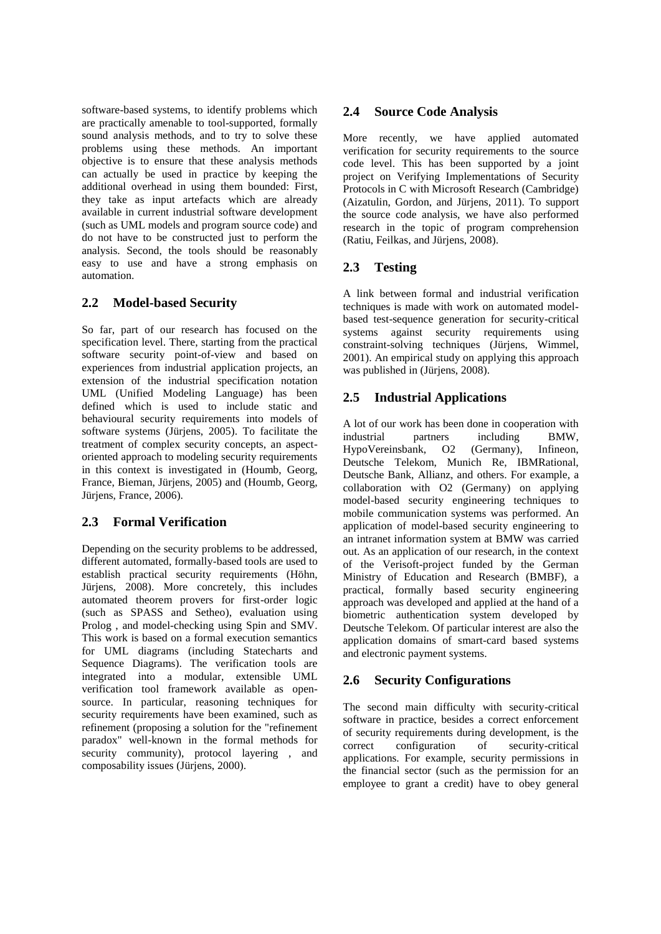software-based systems, to identify problems which are practically amenable to tool-supported, formally sound analysis methods, and to try to solve these problems using these methods. An important objective is to ensure that these analysis methods can actually be used in practice by keeping the additional overhead in using them bounded: First, they take as input artefacts which are already available in current industrial software development (such as UML models and program source code) and do not have to be constructed just to perform the analysis. Second, the tools should be reasonably easy to use and have a strong emphasis on automation.

### **2.2 Model-based Security**

So far, part of our research has focused on the specification level. There, starting from the practical software security point-of-view and based on experiences from industrial application projects, an extension of the industrial specification notation UML (Unified Modeling Language) has been defined which is used to include static and behavioural security requirements into models of software systems (Jürjens, 2005). To facilitate the treatment of complex security concepts, an aspectoriented approach to modeling security requirements in this context is investigated in (Houmb, Georg, France, Bieman, Jürjens, 2005) and (Houmb, Georg, Jürjens, France, 2006).

### **2.3 Formal Verification**

Depending on the security problems to be addressed, different automated, formally-based tools are used to establish practical security requirements (Höhn, Jürjens, 2008). More concretely, this includes automated theorem provers for first-order logic (such as SPASS and Setheo), evaluation using Prolog , and model-checking using Spin and SMV. This work is based on a formal execution semantics for UML diagrams (including Statecharts and Sequence Diagrams). The verification tools are integrated into a modular, extensible UML verification tool framework available as opensource. In particular, reasoning techniques for security requirements have been examined, such as refinement (proposing a solution for the "refinement paradox" well-known in the formal methods for security community), protocol layering, and composability issues (Jürjens, 2000).

#### **2.4 Source Code Analysis**

More recently, we have applied automated verification for security requirements to the source code level. This has been supported by a joint project on Verifying Implementations of Security Protocols in C with Microsoft Research (Cambridge) (Aizatulin, Gordon, and Jürjens, 2011). To support the source code analysis, we have also performed research in the topic of program comprehension (Ratiu, Feilkas, and Jürjens, 2008).

### **2.3 Testing**

A link between formal and industrial verification techniques is made with work on automated modelbased test-sequence generation for security-critical systems against security requirements using constraint-solving techniques (Jürjens, Wimmel, 2001). An empirical study on applying this approach was published in (Jürjens, 2008).

### **2.5 Industrial Applications**

A lot of our work has been done in cooperation with industrial partners including BMW,<br>HypoVereinsbank. O2 (Germany). Infineon. HypoVereinsbank, O2 (Germany), Deutsche Telekom, Munich Re, IBMRational, Deutsche Bank, Allianz, and others. For example, a collaboration with O2 (Germany) on applying model-based security engineering techniques to mobile communication systems was performed. An application of model-based security engineering to an intranet information system at BMW was carried out. As an application of our research, in the context of the Verisoft-project funded by the German Ministry of Education and Research (BMBF), a practical, formally based security engineering approach was developed and applied at the hand of a biometric authentication system developed by Deutsche Telekom. Of particular interest are also the application domains of smart-card based systems and electronic payment systems.

# **2.6 Security Configurations**

The second main difficulty with security-critical software in practice, besides a correct enforcement of security requirements during development, is the correct configuration of security-critical applications. For example, security permissions in the financial sector (such as the permission for an employee to grant a credit) have to obey general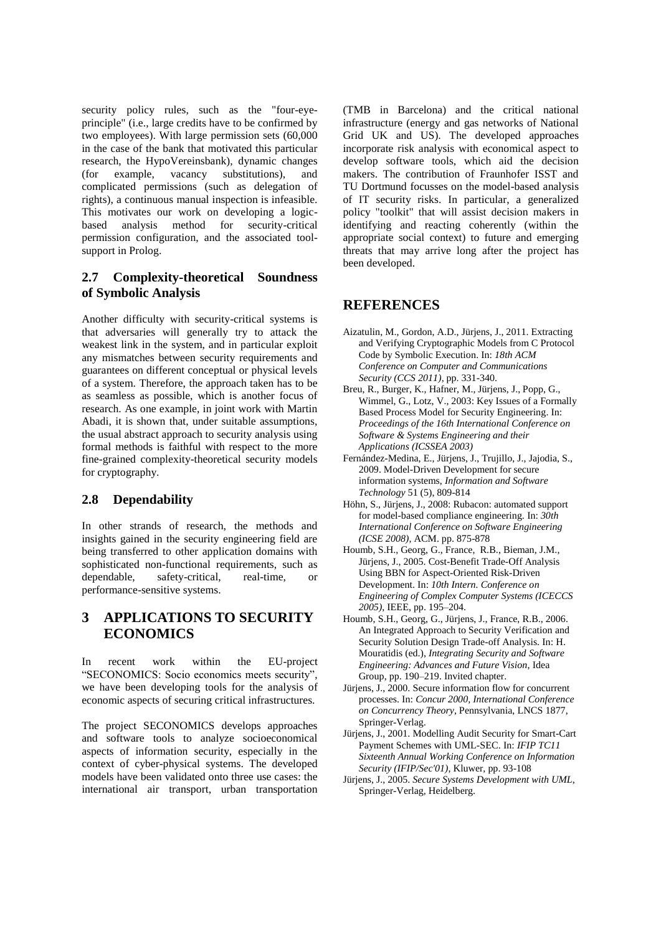security policy rules, such as the "four-eyeprinciple" (i.e., large credits have to be confirmed by two employees). With large permission sets (60,000 in the case of the bank that motivated this particular research, the HypoVereinsbank), dynamic changes (for example, vacancy substitutions), and complicated permissions (such as delegation of rights), a continuous manual inspection is infeasible. This motivates our work on developing a logic-<br>based analysis method for security-critical analysis method for security-critical permission configuration, and the associated toolsupport in Prolog.

#### **2.7 Complexity-theoretical Soundness of Symbolic Analysis**

Another difficulty with security-critical systems is that adversaries will generally try to attack the weakest link in the system, and in particular exploit any mismatches between security requirements and guarantees on different conceptual or physical levels of a system. Therefore, the approach taken has to be as seamless as possible, which is another focus of research. As one example, in joint work with Martin Abadi, it is shown that, under suitable assumptions, the usual abstract approach to security analysis using formal methods is faithful with respect to the more fine-grained complexity-theoretical security models for cryptography.

#### **2.8 Dependability**

In other strands of research, the methods and insights gained in the security engineering field are being transferred to other application domains with sophisticated non-functional requirements, such as dependable, safety-critical, real-time, or performance-sensitive systems.

# **3 APPLICATIONS TO SECURITY ECONOMICS**

In recent work within the EU-project "SECONOMICS: Socio economics meets security", we have been developing tools for the analysis of economic aspects of securing critical infrastructures.

The project SECONOMICS develops approaches and software tools to analyze socioeconomical aspects of information security, especially in the context of cyber-physical systems. The developed models have been validated onto three use cases: the international air transport, urban transportation

(TMB in Barcelona) and the critical national infrastructure (energy and gas networks of National Grid UK and US). The developed approaches incorporate risk analysis with economical aspect to develop software tools, which aid the decision makers. The contribution of Fraunhofer ISST and TU Dortmund focusses on the model-based analysis of IT security risks. In particular, a generalized policy "toolkit" that will assist decision makers in identifying and reacting coherently (within the appropriate social context) to future and emerging threats that may arrive long after the project has been developed.

### **REFERENCES**

- Aizatulin, M., Gordon, A.D., Jürjens, J., 2011. Extracting and Verifying Cryptographic Models from C Protocol Code by Symbolic Execution. In: *18th ACM Conference on Computer and Communications Security (CCS 2011)*, pp. 331-340.
- Breu, R., Burger, K., Hafner, M., Jürjens, J., Popp, G., Wimmel, G., Lotz, V., 2003: Key Issues of a Formally Based Process Model for Security Engineering. In: *Proceedings of the 16th International Conference on Software & Systems Engineering and their Applications (ICSSEA 2003)*
- Fernández-Medina, E., Jürjens, J., Trujillo, J., Jajodia, S., 2009. Model-Driven Development for secure information systems, *Information and Software Technology* 51 (5), 809-814
- Höhn, S., Jürjens, J., 2008: Rubacon: automated support for model-based compliance engineering. In: *30th International Conference on Software Engineering (ICSE 2008)*, ACM. pp. 875-878
- Houmb, S.H., Georg, G., France, R.B., Bieman, J.M., Jürjens, J., 2005. Cost-Benefit Trade-Off Analysis Using BBN for Aspect-Oriented Risk-Driven Development. In: *10th Intern. Conference on Engineering of Complex Computer Systems (ICECCS 2005)*, IEEE, pp. 195–204.
- Houmb, S.H., Georg, G., Jürjens, J., France, R.B., 2006. An Integrated Approach to Security Verification and Security Solution Design Trade-off Analysis. In: H. Mouratidis (ed.), *Integrating Security and Software Engineering: Advances and Future Vision*, Idea Group, pp. 190–219. Invited chapter.
- Jürjens, J., 2000. Secure information flow for concurrent processes. In: *Concur 2000, International Conference on Concurrency Theory*, Pennsylvania, LNCS 1877, Springer-Verlag.
- Jürjens, J., 2001. Modelling Audit Security for Smart-Cart Payment Schemes with UML-SEC. In: *IFIP TC11 Sixteenth Annual Working Conference on Information Security (IFIP/Sec'01)*, Kluwer, pp. 93-108
- Jürjens, J., 2005. *Secure Systems Development with UML*, Springer-Verlag, Heidelberg.